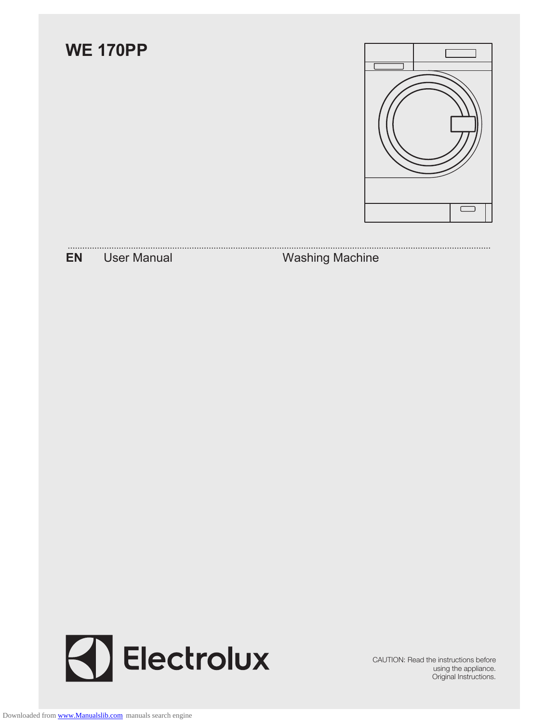



CAUTION: Read the instructions before using the appliance. Original Instructions.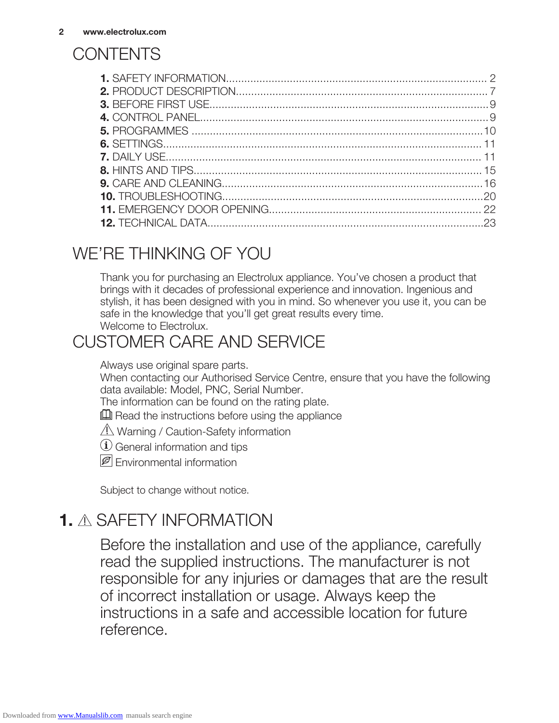# **CONTENTS**

# WE'RE THINKING OF YOU

Thank you for purchasing an Electrolux appliance. You've chosen a product that brings with it decades of professional experience and innovation. Ingenious and stylish, it has been designed with you in mind. So whenever you use it, you can be safe in the knowledge that you'll get great results every time. Welcome to Electrolux.

# CUSTOMER CARE AND SERVICE

Always use original spare parts.

When contacting our Authorised Service Centre, ensure that you have the following data available: Model, PNC, Serial Number.

The information can be found on the rating plate.

 $\mathbb{I}$  Read the instructions before using the appliance

 $\sqrt{N}$  Warning / Caution-Safety information

General information and tips

**P** Fnvironmental information

Subject to change without notice.

# **1. A SAFETY INFORMATION**

Before the installation and use of the appliance, carefully read the supplied instructions. The manufacturer is not responsible for any injuries or damages that are the result of incorrect installation or usage. Always keep the instructions in a safe and accessible location for future reference.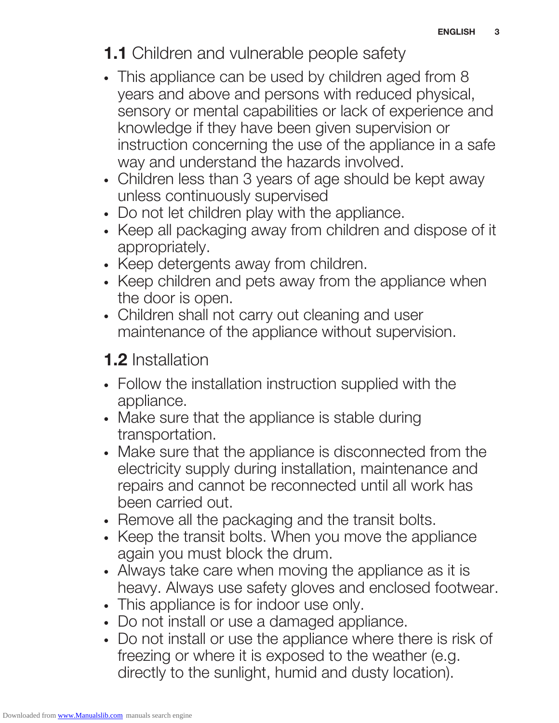# **1.1** Children and vulnerable people safety

- This appliance can be used by children aged from 8 years and above and persons with reduced physical, sensory or mental capabilities or lack of experience and knowledge if they have been given supervision or instruction concerning the use of the appliance in a safe way and understand the hazards involved.
- Children less than 3 years of age should be kept away unless continuously supervised
- Do not let children play with the appliance.
- Keep all packaging away from children and dispose of it appropriately.
- Keep detergents away from children.
- Keep children and pets away from the appliance when the door is open.
- Children shall not carry out cleaning and user maintenance of the appliance without supervision.

# 1.2 Installation

- Follow the installation instruction supplied with the appliance.
- Make sure that the appliance is stable during transportation.
- Make sure that the appliance is disconnected from the electricity supply during installation, maintenance and repairs and cannot be reconnected until all work has been carried out.
- Remove all the packaging and the transit bolts.
- Keep the transit bolts. When you move the appliance again you must block the drum.
- Always take care when moving the appliance as it is heavy. Always use safety gloves and enclosed footwear.
- This appliance is for indoor use only.
- Do not install or use a damaged appliance.
- Do not install or use the appliance where there is risk of freezing or where it is exposed to the weather (e.g. directly to the sunlight, humid and dusty location).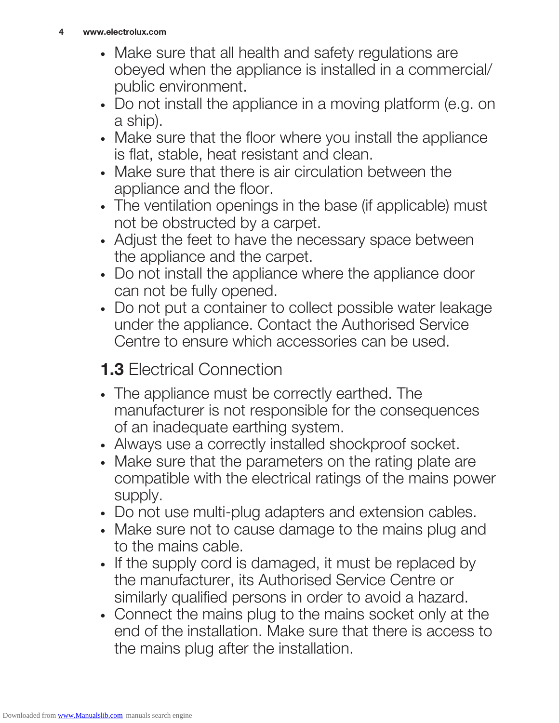- Make sure that all health and safety regulations are obeyed when the appliance is installed in a commercial/ public environment.
- Do not install the appliance in a moving platform (e.g. on a ship).
- Make sure that the floor where you install the appliance is flat, stable, heat resistant and clean.
- Make sure that there is air circulation between the appliance and the floor.
- The ventilation openings in the base (if applicable) must not be obstructed by a carpet.
- Adjust the feet to have the necessary space between the appliance and the carpet.
- Do not install the appliance where the appliance door can not be fully opened.
- Do not put a container to collect possible water leakage under the appliance. Contact the Authorised Service Centre to ensure which accessories can be used.
- **1.3 Electrical Connection**
- The appliance must be correctly earthed. The manufacturer is not responsible for the consequences of an inadequate earthing system.
- Always use a correctly installed shockproof socket.
- Make sure that the parameters on the rating plate are compatible with the electrical ratings of the mains power supply.
- Do not use multi-plug adapters and extension cables.
- Make sure not to cause damage to the mains plug and to the mains cable.
- If the supply cord is damaged, it must be replaced by the manufacturer, its Authorised Service Centre or similarly qualified persons in order to avoid a hazard.
- Connect the mains plug to the mains socket only at the end of the installation. Make sure that there is access to the mains plug after the installation.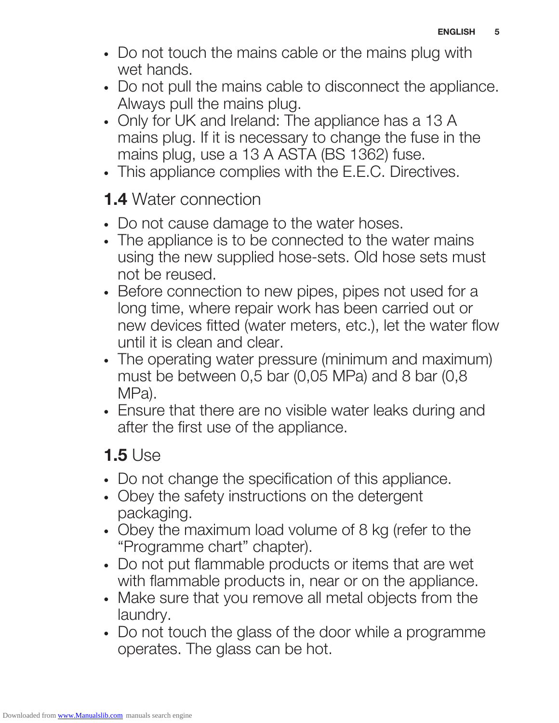- Do not touch the mains cable or the mains plug with wet hands.
- Do not pull the mains cable to disconnect the appliance. Always pull the mains plug.
- Only for UK and Ireland: The appliance has a 13 A mains plug. If it is necessary to change the fuse in the mains plug, use a 13 A ASTA (BS 1362) fuse.
- This appliance complies with the E.E.C. Directives.

# 1.4 Water connection

- Do not cause damage to the water hoses.
- The appliance is to be connected to the water mains using the new supplied hose-sets. Old hose sets must not be reused.
- Before connection to new pipes, pipes not used for a long time, where repair work has been carried out or new devices fitted (water meters, etc.), let the water flow until it is clean and clear.
- The operating water pressure (minimum and maximum) must be between 0,5 bar (0,05 MPa) and 8 bar (0,8 MPa).
- Ensure that there are no visible water leaks during and after the first use of the appliance.

# 1.5 Use

- Do not change the specification of this appliance.
- Obey the safety instructions on the detergent packaging.
- Obey the maximum load volume of 8 kg (refer to the "Programme chart" chapter).
- Do not put flammable products or items that are wet with flammable products in, near or on the appliance.
- Make sure that you remove all metal objects from the laundry.
- Do not touch the glass of the door while a programme operates. The glass can be hot.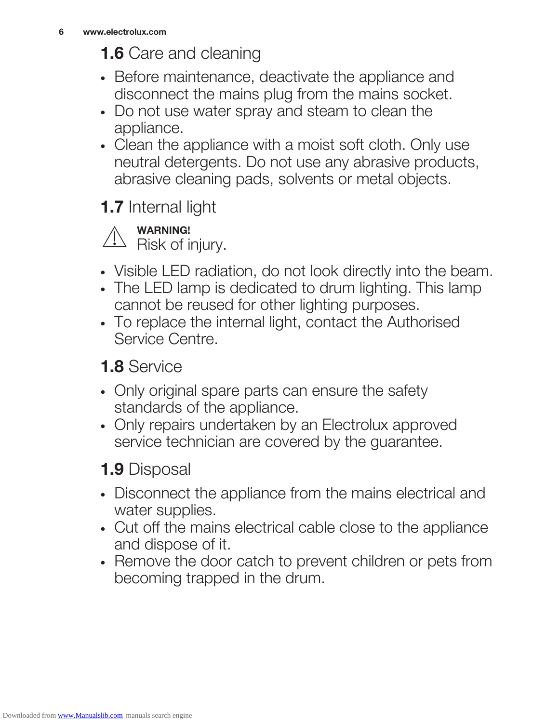# **1.6** Care and cleaning

- Before maintenance, deactivate the appliance and disconnect the mains plug from the mains socket.
- Do not use water spray and steam to clean the appliance.
- Clean the appliance with a moist soft cloth. Only use neutral detergents. Do not use any abrasive products, abrasive cleaning pads, solvents or metal objects.

# 1.7 Internal light



- Visible LED radiation, do not look directly into the beam.
- The LED lamp is dedicated to drum lighting. This lamp cannot be reused for other lighting purposes.
- To replace the internal light, contact the Authorised Service Centre.

# 1.8 Service

- Only original spare parts can ensure the safety standards of the appliance.
- Only repairs undertaken by an Electrolux approved service technician are covered by the guarantee.

# 1.9 Disposal

- Disconnect the appliance from the mains electrical and water supplies.
- Cut off the mains electrical cable close to the appliance and dispose of it.
- Remove the door catch to prevent children or pets from becoming trapped in the drum.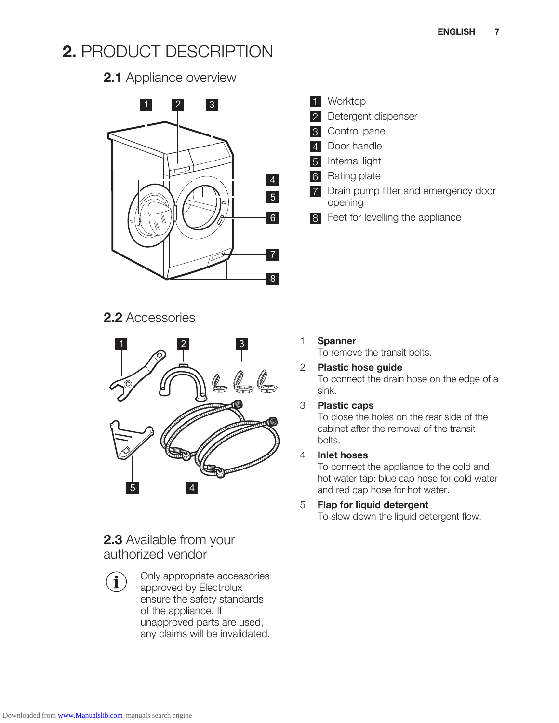# 2. PRODUCT DESCRIPTION

# 2.1 Appliance overview



#### 1 Worktop

- 2 Detergent dispenser
- Control panel
- 4 Door handle
- Internal light
- 6 Rating plate
- Drain pump filter and emergency door opening
- 8 Feet for levelling the appliance

# 2.2 Accessories



# 2.3 Available from your authorized vendor

 $\mathbf i$ 

Only appropriate accessories approved by Electrolux ensure the safety standards of the appliance. If unapproved parts are used, any claims will be invalidated.

#### 1 Spanner

To remove the transit bolts.

#### 2 Plastic hose guide

To connect the drain hose on the edge of a sink.

#### 3 Plastic caps

To close the holes on the rear side of the cabinet after the removal of the transit bolts.

#### 4 Inlet hoses

To connect the appliance to the cold and hot water tap: blue cap hose for cold water and red cap hose for hot water.

#### 5 Flap for liquid detergent To slow down the liquid detergent flow.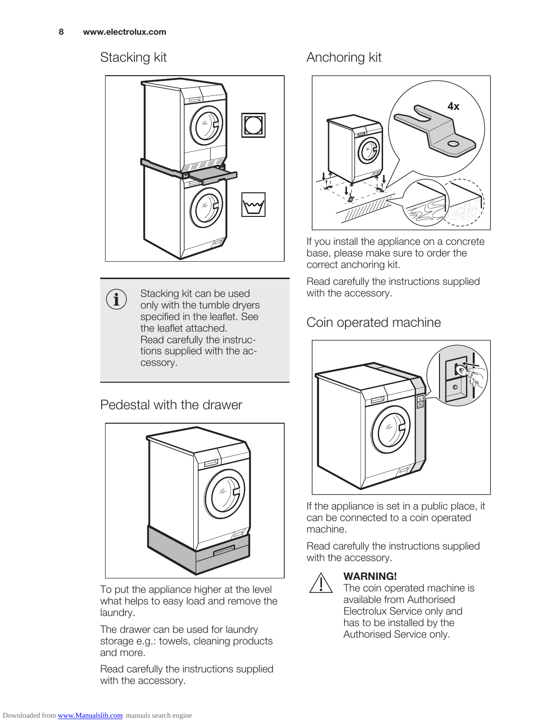$\left( \mathbf{i}\right)$ 

#### Stacking kit



Stacking kit can be used only with the tumble dryers specified in the leaflet. See the leaflet attached. Read carefully the instructions supplied with the accessory.

## Pedestal with the drawer



To put the appliance higher at the level what helps to easy load and remove the laundry.

The drawer can be used for laundry storage e.g.: towels, cleaning products and more.

Read carefully the instructions supplied with the accessory.

# Anchoring kit



If you install the appliance on a concrete base, please make sure to order the correct anchoring kit.

Read carefully the instructions supplied with the accessory.

# Coin operated machine



If the appliance is set in a public place, it can be connected to a coin operated machine.

Read carefully the instructions supplied with the accessory.



## WARNING!

The coin operated machine is available from Authorised Electrolux Service only and has to be installed by the Authorised Service only.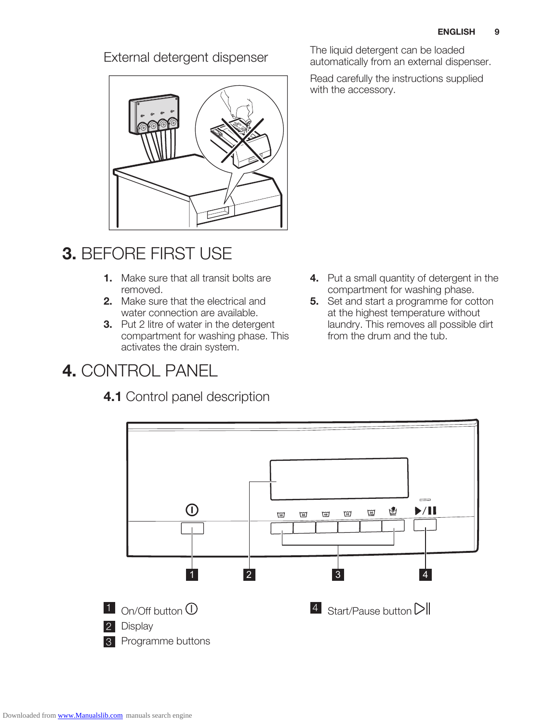

# 3. BEFORE FIRST USE

- 1. Make sure that all transit bolts are removed.
- 2. Make sure that the electrical and water connection are available.
- 3. Put 2 litre of water in the detergent compartment for washing phase. This activates the drain system.

# 4. CONTROL PANEL

# 4.1 Control panel description

External detergent dispenser<br>automatically from an external dispenser<br>automatically from an external dispenser automatically from an external dispenser.

> Read carefully the instructions supplied with the accessory.

- 4. Put a small quantity of detergent in the compartment for washing phase.
- **5.** Set and start a programme for cotton at the highest temperature without laundry. This removes all possible dirt from the drum and the tub.

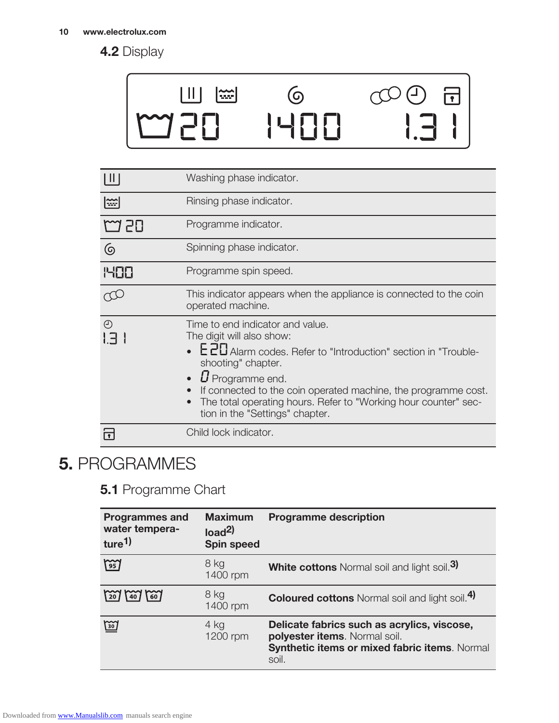# 4.2 Display

#### Ш  $\odot$  $\left[\frac{1}{2} \right]$  $\overline{\mathbf{d}}$  $\begin{picture}(20,20) \put(0,0){\line(1,0){155}} \put(15,0){\line(1,0){155}} \put(15,0){\line(1,0){155}} \put(15,0){\line(1,0){155}} \put(15,0){\line(1,0){155}} \put(15,0){\line(1,0){155}} \put(15,0){\line(1,0){155}} \put(15,0){\line(1,0){155}} \put(15,0){\line(1,0){155}} \put(15,0){\line(1,0){155}} \put(15,0){\line(1,0){155}} \$ 150

| ║║               | Washing phase indicator.                                                                                                                                                                                                                                                                                                                                          |
|------------------|-------------------------------------------------------------------------------------------------------------------------------------------------------------------------------------------------------------------------------------------------------------------------------------------------------------------------------------------------------------------|
| $ \widetilde{} $ | Rinsing phase indicator.                                                                                                                                                                                                                                                                                                                                          |
| M 50             | Programme indicator.                                                                                                                                                                                                                                                                                                                                              |
| <u>ල</u>         | Spinning phase indicator.                                                                                                                                                                                                                                                                                                                                         |
| <b>PIEE</b>      | Programme spin speed.                                                                                                                                                                                                                                                                                                                                             |
|                  | This indicator appears when the appliance is connected to the coin<br>operated machine.                                                                                                                                                                                                                                                                           |
| $\odot$<br>1 F I | Time to end indicator and value.<br>The digit will also show:<br>• EZD Alarm codes. Refer to "Introduction" section in "Trouble-<br>shooting" chapter.<br>$\boldsymbol{U}$ Programme end.<br>If connected to the coin operated machine, the programme cost.<br>The total operating hours. Refer to "Working hour counter" sec-<br>tion in the "Settings" chapter. |
|                  | Child lock indicator.                                                                                                                                                                                                                                                                                                                                             |

# 5. PROGRAMMES

# **5.1 Programme Chart**

| <b>Programmes and</b><br>water tempera-<br>ture <sup>1)</sup> | <b>Maximum</b><br>load <sup>2</sup><br><b>Spin speed</b> | <b>Programme description</b>                                                                                                           |
|---------------------------------------------------------------|----------------------------------------------------------|----------------------------------------------------------------------------------------------------------------------------------------|
| $\approx$                                                     | 8 kg<br>1400 rpm                                         | <b>White cottons</b> Normal soil and light soil. <sup>3</sup>                                                                          |
| $\binom{20}{20}$<br>60l<br>40 <sub>1</sub>                    | 8 kg<br>1400 rpm                                         | <b>Coloured cottons</b> Normal soil and light soil. <sup>4)</sup>                                                                      |
| <u>छि</u>                                                     | 4 kg<br>1200 rpm                                         | Delicate fabrics such as acrylics, viscose,<br>polyester items. Normal soil.<br>Synthetic items or mixed fabric items. Normal<br>soil. |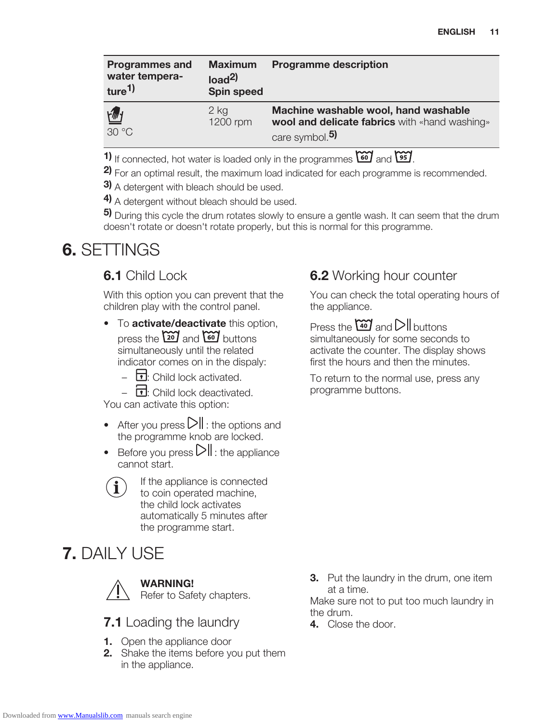| <b>Programmes and</b><br>water tempera-<br>ture <sup>1</sup> | <b>Maximum</b><br>load <sup>2</sup><br><b>Spin speed</b> | <b>Programme description</b>                                                                                        |
|--------------------------------------------------------------|----------------------------------------------------------|---------------------------------------------------------------------------------------------------------------------|
| 一<br>30 °C                                                   | $2$ kg<br>1200 rpm                                       | Machine washable wool, hand washable<br>wool and delicate fabrics with «hand washing»<br>care symbol. <sup>5)</sup> |

1) If connected, hot water is loaded only in the programmes  $\cos$  and  $\sin$ .

2) For an optimal result, the maximum load indicated for each programme is recommended.

3) A detergent with bleach should be used.

4) A detergent without bleach should be used.

5) During this cycle the drum rotates slowly to ensure a gentle wash. It can seem that the drum doesn't rotate or doesn't rotate properly, but this is normal for this programme.

# 6. SETTINGS

# **6.1** Child Lock

With this option you can prevent that the children play with the control panel.

- To activate/deactivate this option, press the  $\frac{60}{20}$  and  $\frac{60}{20}$  buttons simultaneously until the related indicator comes on in the dispaly:
	- $\Box$ : Child lock activated.

 $\overline{\mathbf{E}}$ : Child lock deactivated. You can activate this option:

- After you press  $\sum$  : the options and
	- the programme knob are locked.
- Before you press  $\sum$  : the appliance cannot start.



If the appliance is connected to coin operated machine, the child lock activates automatically 5 minutes after the programme start.

# **7. DAILY USE**



WARNING!

Refer to Safety chapters.

**7.1** Loading the laundry

- **1.** Open the appliance door
- **2.** Shake the items before you put them in the appliance.

# **6.2** Working hour counter

You can check the total operating hours of the appliance.

Press the  $\omega$  and  $\text{Pl}$  buttons simultaneously for some seconds to activate the counter. The display shows first the hours and then the minutes.

To return to the normal use, press any programme buttons.

**3.** Put the laundry in the drum, one item at a time.

Make sure not to put too much laundry in the drum.

4. Close the door.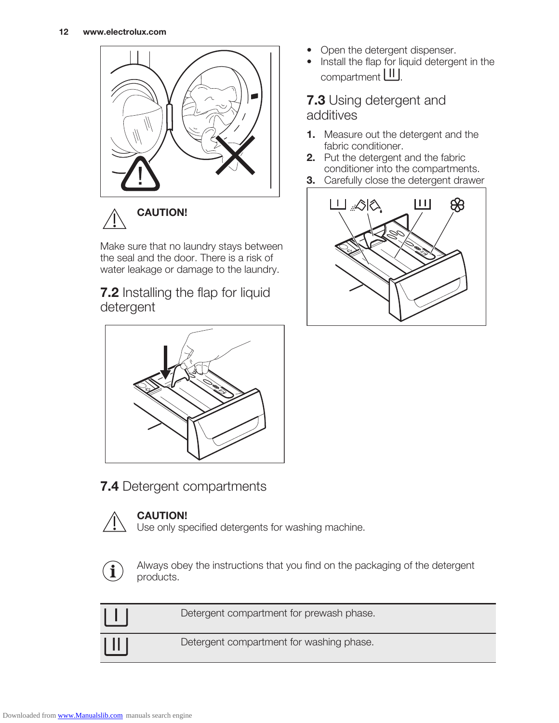



Make sure that no laundry stays between the seal and the door. There is a risk of water leakage or damage to the laundry.

**7.2** Installing the flap for liquid detergent



**7.4 Detergent compartments** 



#### CAUTION!

Use only specified detergents for washing machine.



Always obey the instructions that you find on the packaging of the detergent products.

|                              | Detergent compartment for prewash phase. |
|------------------------------|------------------------------------------|
| $\vert \, \, \vert \, \vert$ | Detergent compartment for washing phase. |

- Open the detergent dispenser.
- Install the flap for liquid detergent in the compartment **LIL**.

#### **7.3** Using detergent and additives

- 1. Measure out the detergent and the fabric conditioner.
- 2. Put the detergent and the fabric conditioner into the compartments.
- **3.** Carefully close the detergent drawer

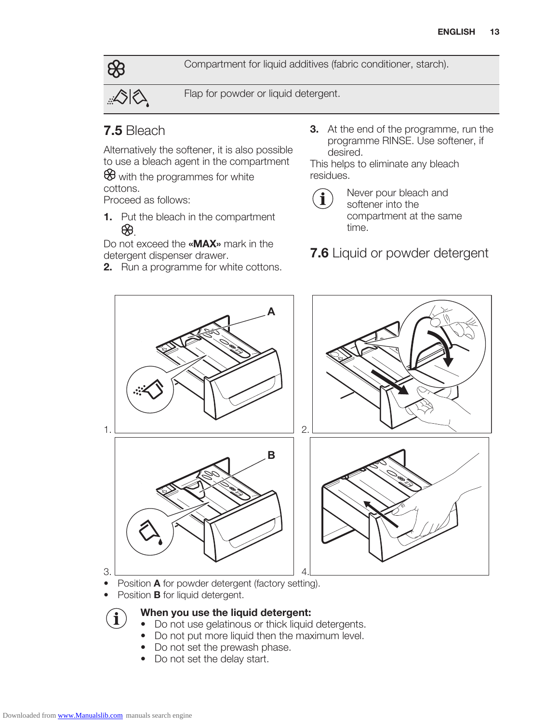Compartment for liquid additives (fabric conditioner, starch).



Flap for powder or liquid detergent.

#### 7.5 Bleach

Alternatively the softener, it is also possible to use a bleach agent in the compartment

 $\bigcirc$  with the programmes for white cottons.

Proceed as follows:

1. Put the bleach in the compartment ₩.

Do not exceed the «**MAX**» mark in the detergent dispenser drawer.

2. Run a programme for white cottons.

**3.** At the end of the programme, run the programme RINSE. Use softener, if desired.

This helps to eliminate any bleach residues.



Never pour bleach and softener into the compartment at the same time.

**7.6** Liquid or powder detergent



Position **B** for liquid detergent.

#### When you use the liquid detergent:

- Do not use gelatinous or thick liquid detergents.
- Do not put more liquid then the maximum level.
- Do not set the prewash phase.
- Do not set the delay start.

i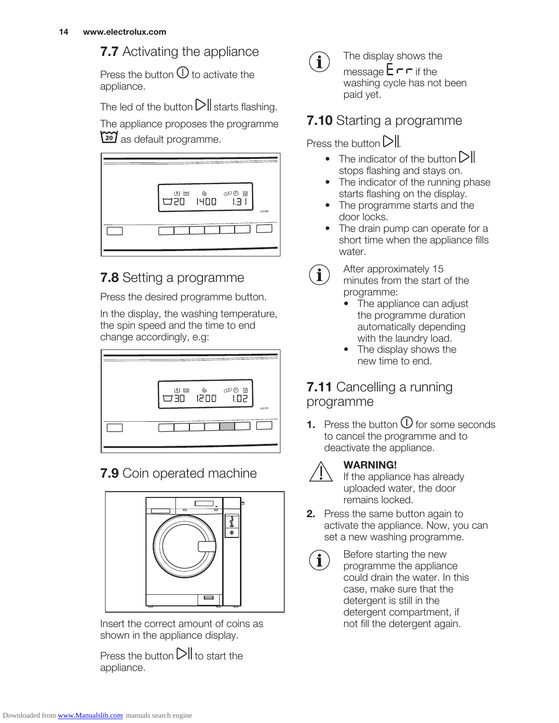# **7.7** Activating the appliance

Press the button  $\mathbb O$  to activate the appliance.

The led of the button  $\triangleright$  starts flashing.

The appliance proposes the programme 20 as default programme.



# **7.8** Setting a programme

Press the desired programme button.

In the display, the washing temperature, the spin speed and the time to end change accordingly, e.g:



# **7.9** Coin operated machine



Insert the correct amount of coins as shown in the appliance display.

Press the button  $\sum \parallel$  to start the appliance.



The display shows the message  $E \cap F$  if the washing cycle has not been paid yet.

# **7.10** Starting a programme

Press the button  $\mathsf{DII}$ 

- The indicator of the button  $\Box$ stops flashing and stays on.
- The indicator of the running phase starts flashing on the display.
- The programme starts and the door locks.
- The drain pump can operate for a short time when the appliance fills water.



After approximately 15 minutes from the start of the programme:

- The appliance can adjust the programme duration automatically depending with the laundry load.
- The display shows the new time to end.

# **7.11** Cancelling a running programme

**1.** Press the button  $\bigcup$  for some seconds to cancel the programme and to deactivate the appliance.



# WARNING!

If the appliance has already uploaded water, the door remains locked.

- 2. Press the same button again to activate the appliance. Now, you can set a new washing programme.
- $\mathbf i$

Before starting the new programme the appliance could drain the water. In this case, make sure that the detergent is still in the detergent compartment, if not fill the detergent again.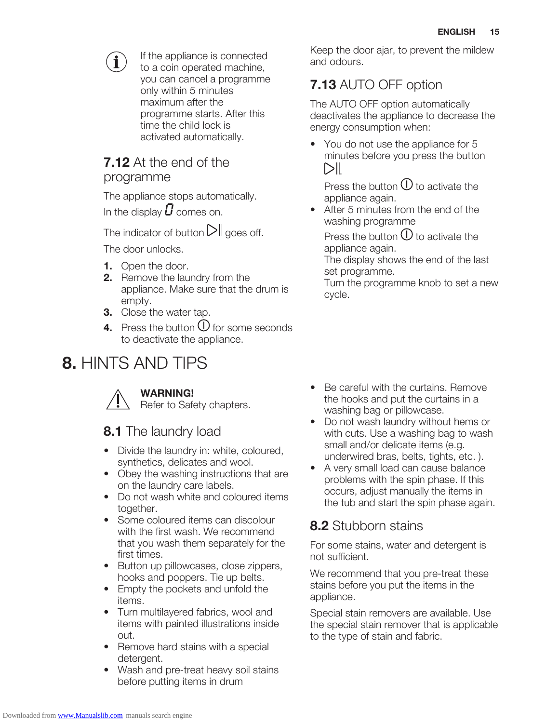

If the appliance is connected to a coin operated machine, you can cancel a programme only within 5 minutes maximum after the programme starts. After this time the child lock is activated automatically.

# **7.12** At the end of the programme

The appliance stops automatically. In the display  $\boldsymbol{U}$  comes on.

The indicator of button  $\sum \log \log$  off.

The door unlocks.

- 1. Open the door.
- **2.** Remove the laundry from the appliance. Make sure that the drum is empty.
- 3. Close the water tap.
- 4. Press the button  $\bigcup$  for some seconds to deactivate the appliance.

# 8. HINTS AND TIPS



#### WARNING!

Refer to Safety chapters.

# 8.1 The laundry load

- Divide the laundry in: white, coloured, synthetics, delicates and wool.
- Obey the washing instructions that are on the laundry care labels.
- Do not wash white and coloured items together.
- Some coloured items can discolour with the first wash. We recommend that you wash them separately for the first times.
- Button up pillowcases, close zippers, hooks and poppers. Tie up belts.
- Empty the pockets and unfold the items.
- Turn multilayered fabrics, wool and items with painted illustrations inside out.
- Remove hard stains with a special detergent.
- Wash and pre-treat heavy soil stains before putting items in drum

Keep the door ajar, to prevent the mildew and odours.

# 7.13 AUTO OFF option

The AUTO OFF option automatically deactivates the appliance to decrease the energy consumption when:

• You do not use the appliance for 5 minutes before you press the button  $\triangleright$ l $\vdash$ 

Press the button  $\bigcup$  to activate the appliance again.

After 5 minutes from the end of the washing programme

Press the button  $\bigcup$  to activate the appliance again.

The display shows the end of the last set programme.

Turn the programme knob to set a new cycle.

- Be careful with the curtains. Remove the hooks and put the curtains in a washing bag or pillowcase.
- Do not wash laundry without hems or with cuts. Use a washing bag to wash small and/or delicate items (e.g. underwired bras, belts, tights, etc. ).
- A very small load can cause balance problems with the spin phase. If this occurs, adjust manually the items in the tub and start the spin phase again.

# 8.2 Stubborn stains

For some stains, water and detergent is not sufficient.

We recommend that you pre-treat these stains before you put the items in the appliance.

Special stain removers are available. Use the special stain remover that is applicable to the type of stain and fabric.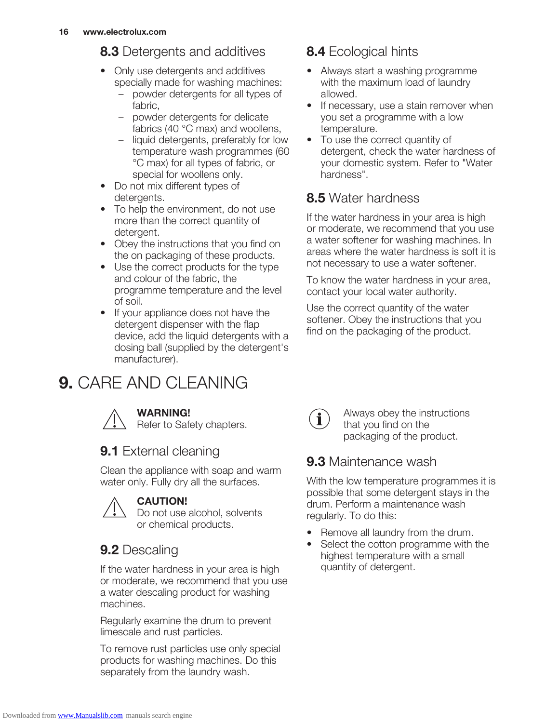# **8.3** Detergents and additives

- Only use detergents and additives specially made for washing machines:
	- powder detergents for all types of fabric,
	- powder detergents for delicate fabrics (40 °C max) and woollens,
	- liquid detergents, preferably for low temperature wash programmes (60 °C max) for all types of fabric, or special for woollens only.
- Do not mix different types of detergents.
- To help the environment, do not use more than the correct quantity of detergent.
- Obey the instructions that you find on the on packaging of these products.
- Use the correct products for the type and colour of the fabric, the programme temperature and the level of soil.
- If your appliance does not have the detergent dispenser with the flap device, add the liquid detergents with a dosing ball (supplied by the detergent's manufacturer).

# 9. CARE AND CLEANING



#### WARNING!

Refer to Safety chapters.

# **9.1** External cleaning

Clean the appliance with soap and warm water only. Fully dry all the surfaces.

#### CAUTION!

Do not use alcohol, solvents or chemical products.

# 9.2 Descaling

If the water hardness in your area is high or moderate, we recommend that you use a water descaling product for washing machines.

Regularly examine the drum to prevent limescale and rust particles.

To remove rust particles use only special products for washing machines. Do this separately from the laundry wash.

# 8.4 Ecological hints

- Always start a washing programme with the maximum load of laundry allowed.
- If necessary, use a stain remover when you set a programme with a low temperature.
- To use the correct quantity of detergent, check the water hardness of your domestic system. Refer to "Water hardness".

# 8.5 Water hardness

If the water hardness in your area is high or moderate, we recommend that you use a water softener for washing machines. In areas where the water hardness is soft it is not necessary to use a water softener.

To know the water hardness in your area, contact your local water authority.

Use the correct quantity of the water softener. Obey the instructions that you find on the packaging of the product.



Always obey the instructions that you find on the packaging of the product.

## 9.3 Maintenance wash

With the low temperature programmes it is possible that some detergent stays in the drum. Perform a maintenance wash regularly. To do this:

- Remove all laundry from the drum.
- Select the cotton programme with the highest temperature with a small quantity of detergent.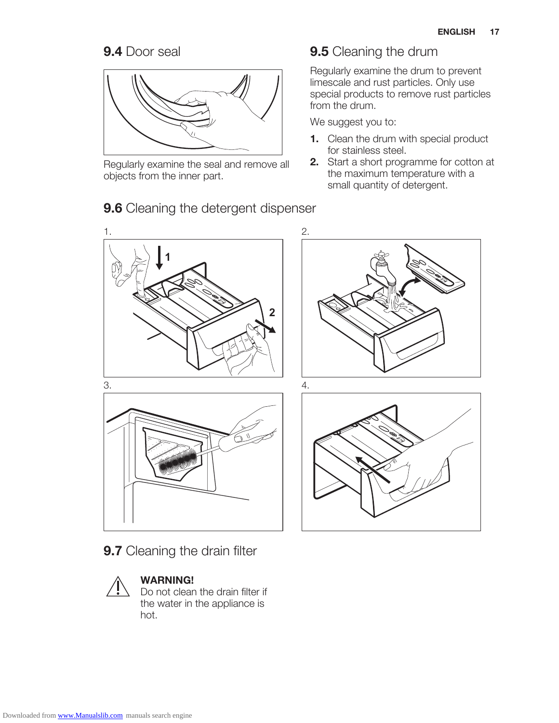# 9.4 Door seal



Regularly examine the seal and remove all objects from the inner part.

#### 9.5 Cleaning the drum

Regularly examine the drum to prevent limescale and rust particles. Only use special products to remove rust particles from the drum.

We suggest you to:

- 1. Clean the drum with special product for stainless steel.
- 2. Start a short programme for cotton at the maximum temperature with a small quantity of detergent.



9.7 Cleaning the drain filter



#### WARNING!

Do not clean the drain filter if the water in the appliance is hot.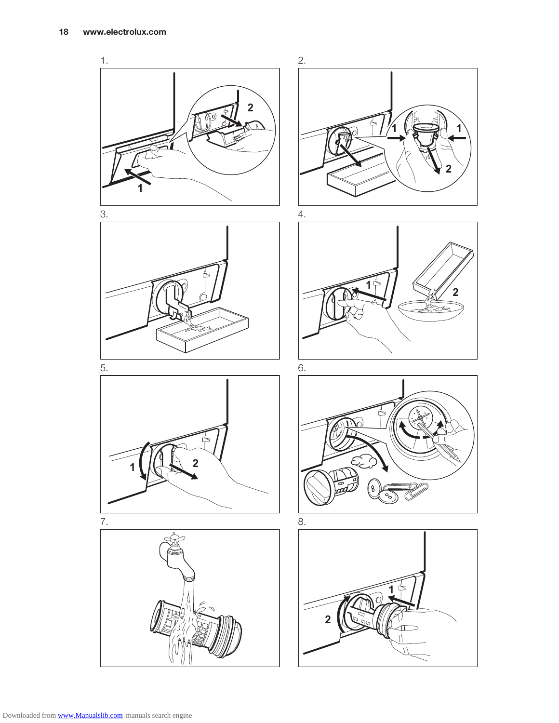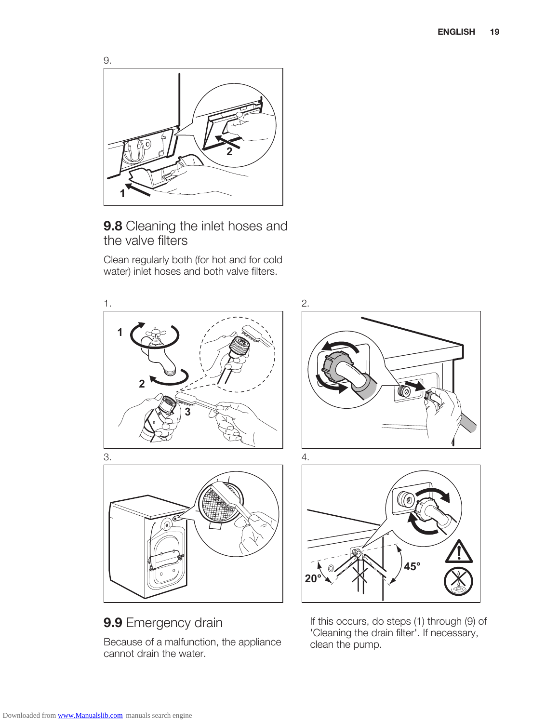

9.8 Cleaning the inlet hoses and the valve filters

Clean regularly both (for hot and for cold water) inlet hoses and both valve filters.



9.9 Emergency drain

Because of a malfunction, the appliance cannot drain the water.

If this occurs, do steps (1) through (9) of 'Cleaning the drain filter'. If necessary, clean the pump.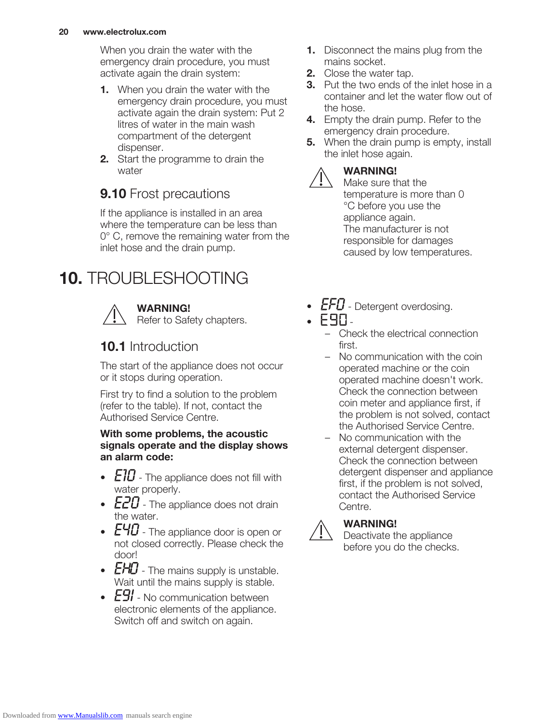When you drain the water with the emergency drain procedure, you must activate again the drain system:

- **1.** When you drain the water with the emergency drain procedure, you must activate again the drain system: Put 2 litres of water in the main wash compartment of the detergent dispenser.
- **2.** Start the programme to drain the water

# **9.10** Frost precautions

If the appliance is installed in an area where the temperature can be less than 0° C, remove the remaining water from the inlet hose and the drain pump.

# 10. TROUBLESHOOTING



#### WARNING!

Refer to Safety chapters.

# 10.1 Introduction

The start of the appliance does not occur or it stops during operation.

First try to find a solution to the problem (refer to the table). If not, contact the Authorised Service Centre.

#### With some problems, the acoustic signals operate and the display shows an alarm code:

- $E10$  The appliance does not fill with water properly.
- $E20$  The appliance does not drain the water.
- $E40$  The appliance door is open or not closed correctly. Please check the door!
- $LTU$  The mains supply is unstable. Wait until the mains supply is stable.
- $E9'$  No communication between electronic elements of the appliance. Switch off and switch on again.
- **1.** Disconnect the mains plug from the mains socket.
- 2. Close the water tap.
- **3.** Put the two ends of the inlet hose in a container and let the water flow out of the hose.
- 4. Empty the drain pump. Refer to the emergency drain procedure.
- **5.** When the drain pump is empty, install the inlet hose again.

#### WARNING!

Make sure that the temperature is more than 0 °C before you use the appliance again. The manufacturer is not responsible for damages caused by low temperatures.

- $EFD$  Detergent overdosing.
- $F90-$ 
	- Check the electrical connection first.
	- No communication with the coin operated machine or the coin operated machine doesn't work. Check the connection between coin meter and appliance first, if the problem is not solved, contact the Authorised Service Centre.
	- No communication with the external detergent dispenser. Check the connection between detergent dispenser and appliance first, if the problem is not solved, contact the Authorised Service Centre.



#### WARNING!

Deactivate the appliance before you do the checks.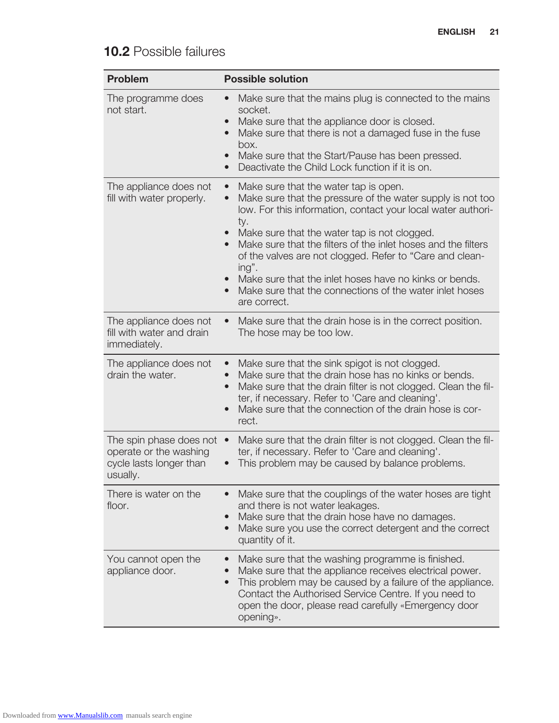# 10.2 Possible failures

| <b>Problem</b>                                                                           | <b>Possible solution</b>                                                                                                                                                                                                                                                                                                                                                                                                                                                                                                                                                            |  |
|------------------------------------------------------------------------------------------|-------------------------------------------------------------------------------------------------------------------------------------------------------------------------------------------------------------------------------------------------------------------------------------------------------------------------------------------------------------------------------------------------------------------------------------------------------------------------------------------------------------------------------------------------------------------------------------|--|
| The programme does<br>not start.                                                         | Make sure that the mains plug is connected to the mains<br>$\bullet$<br>socket.<br>Make sure that the appliance door is closed.<br>$\bullet$<br>Make sure that there is not a damaged fuse in the fuse<br>$\bullet$<br>box.<br>Make sure that the Start/Pause has been pressed.<br>$\bullet$<br>Deactivate the Child Lock function if it is on.<br>$\bullet$                                                                                                                                                                                                                        |  |
| The appliance does not<br>fill with water properly.                                      | Make sure that the water tap is open.<br>$\bullet$<br>Make sure that the pressure of the water supply is not too<br>$\bullet$<br>low. For this information, contact your local water authori-<br>ty.<br>Make sure that the water tap is not clogged.<br>$\bullet$<br>Make sure that the filters of the inlet hoses and the filters<br>$\bullet$<br>of the valves are not clogged. Refer to "Care and clean-<br>ing".<br>Make sure that the inlet hoses have no kinks or bends.<br>$\bullet$<br>Make sure that the connections of the water inlet hoses<br>$\bullet$<br>are correct. |  |
| The appliance does not<br>fill with water and drain<br>immediately.                      | Make sure that the drain hose is in the correct position.<br>$\bullet$<br>The hose may be too low.                                                                                                                                                                                                                                                                                                                                                                                                                                                                                  |  |
| The appliance does not<br>drain the water.                                               | Make sure that the sink spigot is not clogged.<br>$\bullet$<br>Make sure that the drain hose has no kinks or bends.<br>$\bullet$<br>Make sure that the drain filter is not clogged. Clean the fil-<br>$\bullet$<br>ter, if necessary. Refer to 'Care and cleaning'.<br>Make sure that the connection of the drain hose is cor-<br>$\bullet$<br>rect.                                                                                                                                                                                                                                |  |
| The spin phase does not<br>operate or the washing<br>cycle lasts longer than<br>usually. | Make sure that the drain filter is not clogged. Clean the fil-<br>$\bullet$<br>ter, if necessary. Refer to 'Care and cleaning'.<br>This problem may be caused by balance problems.                                                                                                                                                                                                                                                                                                                                                                                                  |  |
| There is water on the<br>floor.                                                          | Make sure that the couplings of the water hoses are tight<br>and there is not water leakages.<br>Make sure that the drain hose have no damages.<br>$\bullet$<br>Make sure you use the correct detergent and the correct<br>$\bullet$<br>quantity of it.                                                                                                                                                                                                                                                                                                                             |  |
| You cannot open the<br>appliance door.                                                   | Make sure that the washing programme is finished.<br>Make sure that the appliance receives electrical power.<br>This problem may be caused by a failure of the appliance.<br>Contact the Authorised Service Centre. If you need to<br>open the door, please read carefully «Emergency door<br>opening».                                                                                                                                                                                                                                                                             |  |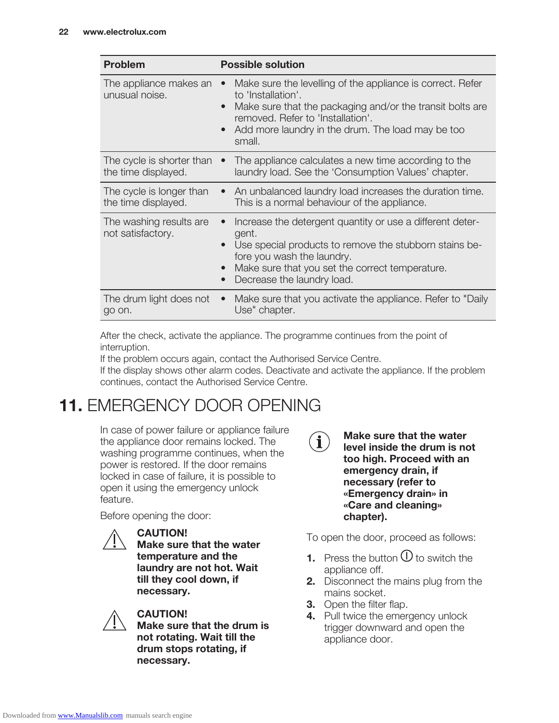| <b>Problem</b>                                   | <b>Possible solution</b>                                                                                                                                                                                                                                                                 |  |
|--------------------------------------------------|------------------------------------------------------------------------------------------------------------------------------------------------------------------------------------------------------------------------------------------------------------------------------------------|--|
| The appliance makes an<br>unusual noise.         | Make sure the levelling of the appliance is correct. Refer<br>$\bullet$<br>to 'Installation'.<br>Make sure that the packaging and/or the transit bolts are<br>$\bullet$<br>removed. Refer to 'Installation'.<br>Add more laundry in the drum. The load may be too<br>$\bullet$<br>small. |  |
| The cycle is shorter than<br>the time displayed. | The appliance calculates a new time according to the<br>laundry load. See the 'Consumption Values' chapter.                                                                                                                                                                              |  |
| The cycle is longer than<br>the time displayed.  | An unbalanced laundry load increases the duration time.<br>$\bullet$<br>This is a normal behaviour of the appliance.                                                                                                                                                                     |  |
| The washing results are<br>not satisfactory.     | Increase the detergent quantity or use a different deter-<br>$\bullet$<br>gent.<br>Use special products to remove the stubborn stains be-<br>$\bullet$<br>fore you wash the laundry.<br>Make sure that you set the correct temperature.<br>$\bullet$<br>Decrease the laundry load.       |  |
| The drum light does not<br>go on.                | Make sure that you activate the appliance. Refer to "Daily<br>$\bullet$<br>Use" chapter.                                                                                                                                                                                                 |  |

After the check, activate the appliance. The programme continues from the point of interruption.

If the problem occurs again, contact the Authorised Service Centre.

If the display shows other alarm codes. Deactivate and activate the appliance. If the problem continues, contact the Authorised Service Centre.

# 11. EMERGENCY DOOR OPENING

In case of power failure or appliance failure the appliance door remains locked. The washing programme continues, when the power is restored. If the door remains locked in case of failure, it is possible to open it using the emergency unlock feature.

Before opening the door:



CAUTION!

Make sure that the water temperature and the laundry are not hot. Wait till they cool down, if necessary.



#### CAUTION!

Make sure that the drum is not rotating. Wait till the drum stops rotating, if necessary.



Make sure that the water level inside the drum is not too high. Proceed with an emergency drain, if necessary (refer to «Emergency drain» in «Care and cleaning» chapter).

To open the door, proceed as follows:

- **1.** Press the button  $\bigcup$  to switch the appliance off.
- **2.** Disconnect the mains plug from the mains socket.
- **3.** Open the filter flap.
- 4. Pull twice the emergency unlock trigger downward and open the appliance door.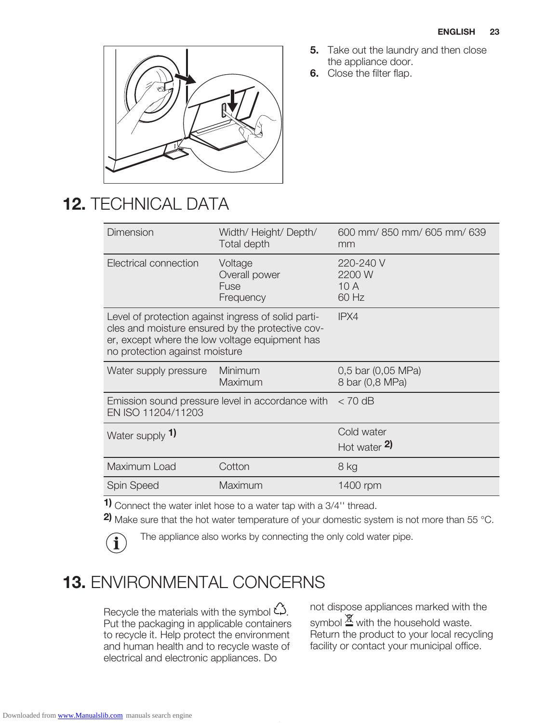

- **5.** Take out the laundry and then close the appliance door.
- **6.** Close the filter flap.

# 12. TECHNICAL DATA

| Dimension                                                                                                                                                                                   | Width/ Height/ Depth/<br>Total depth          | 600 mm/850 mm/605 mm/639<br>mm        |
|---------------------------------------------------------------------------------------------------------------------------------------------------------------------------------------------|-----------------------------------------------|---------------------------------------|
| Electrical connection                                                                                                                                                                       | Voltage<br>Overall power<br>Fuse<br>Frequency | 220-240 V<br>2200 W<br>10 A<br>60 Hz  |
| Level of protection against ingress of solid parti-<br>cles and moisture ensured by the protective cov-<br>er, except where the low voltage equipment has<br>no protection against moisture |                                               | IPX4                                  |
| Water supply pressure                                                                                                                                                                       | Minimum<br>Maximum                            | 0,5 bar (0,05 MPa)<br>8 bar (0,8 MPa) |
| Emission sound pressure level in accordance with<br>EN ISO 11204/11203                                                                                                                      |                                               | $< 70$ dB                             |
| Water supply 1)                                                                                                                                                                             |                                               | Cold water                            |
|                                                                                                                                                                                             |                                               | Hot water $2$ )                       |
| Maximum Load                                                                                                                                                                                | Cotton                                        | 8 kg                                  |
| <b>Spin Speed</b>                                                                                                                                                                           | Maximum                                       | 1400 rpm                              |
| - 1                                                                                                                                                                                         |                                               |                                       |

1) Connect the water inlet hose to a water tap with a 3/4" thread.

2) Make sure that the hot water temperature of your domestic system is not more than 55 °C.

 $\mathbf i$ 

The appliance also works by connecting the only cold water pipe.

# 13. ENVIRONMENTAL CONCERNS

Recycle the materials with the symbol  $\check{\omega}$ . Put the packaging in applicable containers to recycle it. Help protect the environment and human health and to recycle waste of electrical and electronic appliances. Do

not dispose appliances marked with the symbol  $\mathbb{\Sigma}$  with the household waste. Return the product to your local recycling facility or contact your municipal office.